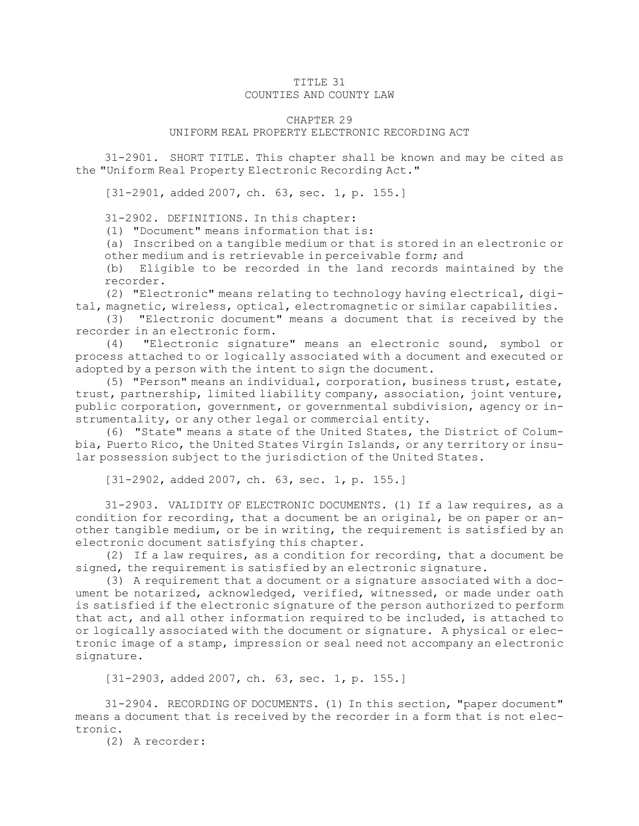## TITLE 31 COUNTIES AND COUNTY LAW

## CHAPTER 29

## UNIFORM REAL PROPERTY ELECTRONIC RECORDING ACT

31-2901. SHORT TITLE. This chapter shall be known and may be cited as the "Uniform Real Property Electronic Recording Act."

[31-2901, added 2007, ch. 63, sec. 1, p. 155.]

31-2902. DEFINITIONS. In this chapter:

(1) "Document" means information that is:

(a) Inscribed on <sup>a</sup> tangible medium or that is stored in an electronic or other medium and is retrievable in perceivable form; and

(b) Eligible to be recorded in the land records maintained by the recorder.

(2) "Electronic" means relating to technology having electrical, digital, magnetic, wireless, optical, electromagnetic or similar capabilities.

(3) "Electronic document" means <sup>a</sup> document that is received by the recorder in an electronic form.

(4) "Electronic signature" means an electronic sound, symbol or process attached to or logically associated with <sup>a</sup> document and executed or adopted by <sup>a</sup> person with the intent to sign the document.

(5) "Person" means an individual, corporation, business trust, estate, trust, partnership, limited liability company, association, joint venture, public corporation, government, or governmental subdivision, agency or instrumentality, or any other legal or commercial entity.

(6) "State" means <sup>a</sup> state of the United States, the District of Columbia, Puerto Rico, the United States Virgin Islands, or any territory or insular possession subject to the jurisdiction of the United States.

[31-2902, added 2007, ch. 63, sec. 1, p. 155.]

31-2903. VALIDITY OF ELECTRONIC DOCUMENTS. (1) If <sup>a</sup> law requires, as <sup>a</sup> condition for recording, that <sup>a</sup> document be an original, be on paper or another tangible medium, or be in writing, the requirement is satisfied by an electronic document satisfying this chapter.

(2) If <sup>a</sup> law requires, as <sup>a</sup> condition for recording, that <sup>a</sup> document be signed, the requirement is satisfied by an electronic signature.

(3) <sup>A</sup> requirement that <sup>a</sup> document or <sup>a</sup> signature associated with <sup>a</sup> document be notarized, acknowledged, verified, witnessed, or made under oath is satisfied if the electronic signature of the person authorized to perform that act, and all other information required to be included, is attached to or logically associated with the document or signature. <sup>A</sup> physical or electronic image of <sup>a</sup> stamp, impression or seal need not accompany an electronic signature.

[31-2903, added 2007, ch. 63, sec. 1, p. 155.]

31-2904. RECORDING OF DOCUMENTS. (1) In this section, "paper document" means <sup>a</sup> document that is received by the recorder in <sup>a</sup> form that is not electronic.

(2) A recorder: